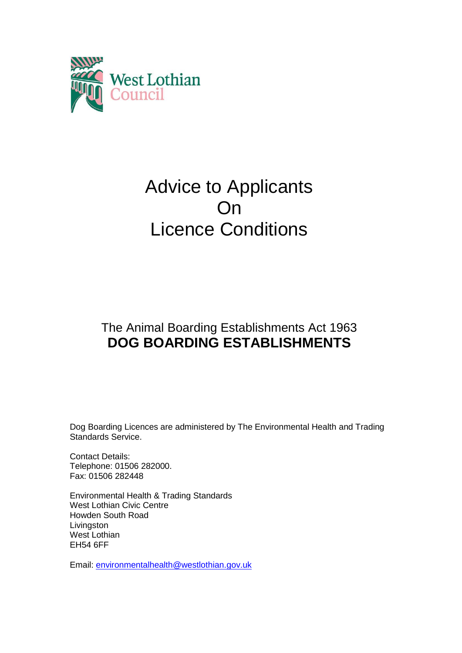

# Advice to Applicants On Licence Conditions

# The Animal Boarding Establishments Act 1963 **DOG BOARDING ESTABLISHMENTS**

Dog Boarding Licences are administered by The Environmental Health and Trading Standards Service.

Contact Details: Telephone: 01506 282000. Fax: 01506 282448

Environmental Health & Trading Standards West Lothian Civic Centre Howden South Road Livingston West Lothian EH54 6FF

Email: [environmentalhealth@westlothian.gov.uk](mailto:environmentalhealth@westlothian.gov.uk)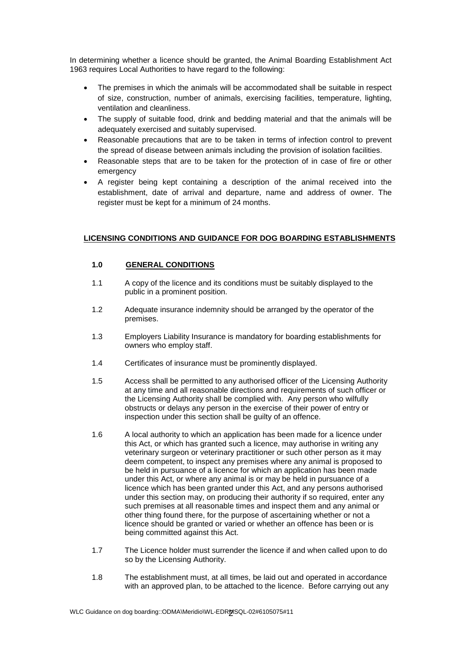In determining whether a licence should be granted, the Animal Boarding Establishment Act 1963 requires Local Authorities to have regard to the following:

- The premises in which the animals will be accommodated shall be suitable in respect of size, construction, number of animals, exercising facilities, temperature, lighting, ventilation and cleanliness.
- The supply of suitable food, drink and bedding material and that the animals will be adequately exercised and suitably supervised.
- Reasonable precautions that are to be taken in terms of infection control to prevent the spread of disease between animals including the provision of isolation facilities.
- Reasonable steps that are to be taken for the protection of in case of fire or other emergency
- A register being kept containing a description of the animal received into the establishment, date of arrival and departure, name and address of owner. The register must be kept for a minimum of 24 months.

# **LICENSING CONDITIONS AND GUIDANCE FOR DOG BOARDING ESTABLISHMENTS**

# **1.0 GENERAL CONDITIONS**

- 1.1 A copy of the licence and its conditions must be suitably displayed to the public in a prominent position.
- 1.2 Adequate insurance indemnity should be arranged by the operator of the premises.
- 1.3 Employers Liability Insurance is mandatory for boarding establishments for owners who employ staff.
- 1.4 Certificates of insurance must be prominently displayed.
- 1.5 Access shall be permitted to any authorised officer of the Licensing Authority at any time and all reasonable directions and requirements of such officer or the Licensing Authority shall be complied with. Any person who wilfully obstructs or delays any person in the exercise of their power of entry or inspection under this section shall be guilty of an offence.
- 1.6 A local authority to which an application has been made for a licence under this Act, or which has granted such a licence, may authorise in writing any veterinary surgeon or veterinary practitioner or such other person as it may deem competent, to inspect any premises where any animal is proposed to be held in pursuance of a licence for which an application has been made under this Act, or where any animal is or may be held in pursuance of a licence which has been granted under this Act, and any persons authorised under this section may, on producing their authority if so required, enter any such premises at all reasonable times and inspect them and any animal or other thing found there, for the purpose of ascertaining whether or not a licence should be granted or varied or whether an offence has been or is being committed against this Act.
- 1.7 The Licence holder must surrender the licence if and when called upon to do so by the Licensing Authority.
- 1.8 The establishment must, at all times, be laid out and operated in accordance with an approved plan, to be attached to the licence. Before carrying out any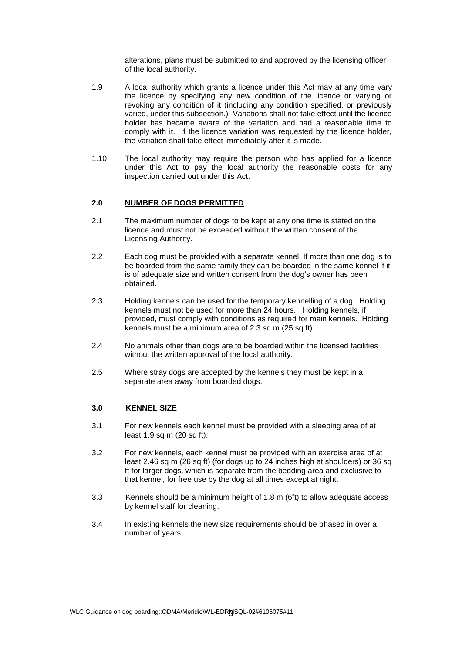alterations, plans must be submitted to and approved by the licensing officer of the local authority.

- 1.9 A local authority which grants a licence under this Act may at any time vary the licence by specifying any new condition of the licence or varying or revoking any condition of it (including any condition specified, or previously varied, under this subsection.) Variations shall not take effect until the licence holder has became aware of the variation and had a reasonable time to comply with it. If the licence variation was requested by the licence holder, the variation shall take effect immediately after it is made.
- 1.10 The local authority may require the person who has applied for a licence under this Act to pay the local authority the reasonable costs for any inspection carried out under this Act.

# **2.0 NUMBER OF DOGS PERMITTED**

- 2.1 The maximum number of dogs to be kept at any one time is stated on the licence and must not be exceeded without the written consent of the Licensing Authority.
- 2.2 Each dog must be provided with a separate kennel. If more than one dog is to be boarded from the same family they can be boarded in the same kennel if it is of adequate size and written consent from the dog's owner has been obtained.
- 2.3 Holding kennels can be used for the temporary kennelling of a dog. Holding kennels must not be used for more than 24 hours. Holding kennels, if provided, must comply with conditions as required for main kennels. Holding kennels must be a minimum area of 2.3 sq m (25 sq ft)
- 2.4 No animals other than dogs are to be boarded within the licensed facilities without the written approval of the local authority.
- 2.5 Where stray dogs are accepted by the kennels they must be kept in a separate area away from boarded dogs.

#### **3.0 KENNEL SIZE**

- 3.1 For new kennels each kennel must be provided with a sleeping area of at least 1.9 sq m (20 sq ft).
- 3.2 For new kennels, each kennel must be provided with an exercise area of at least 2.46 sq m (26 sq ft) (for dogs up to 24 inches high at shoulders) or 36 sq ft for larger dogs, which is separate from the bedding area and exclusive to that kennel, for free use by the dog at all times except at night.
- 3.3 Kennels should be a minimum height of 1.8 m (6ft) to allow adequate access by kennel staff for cleaning.
- 3.4 In existing kennels the new size requirements should be phased in over a number of years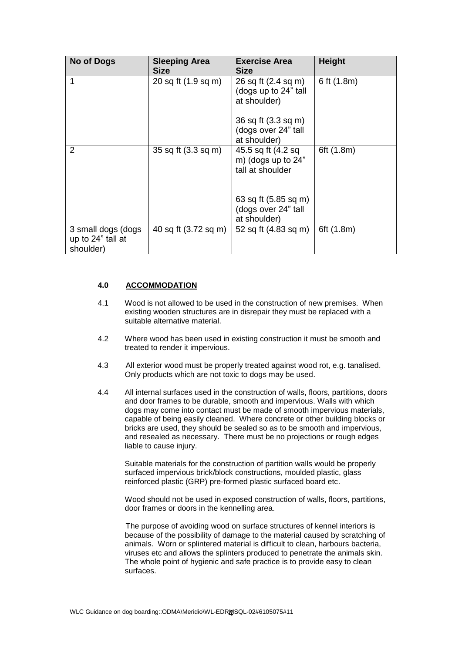| <b>No of Dogs</b>                                    | <b>Sleeping Area</b><br><b>Size</b> | <b>Exercise Area</b><br><b>Size</b>                          | <b>Height</b> |
|------------------------------------------------------|-------------------------------------|--------------------------------------------------------------|---------------|
| 1                                                    | 20 sq ft (1.9 sq m)                 | 26 sq ft (2.4 sq m)<br>(dogs up to 24" tall<br>at shoulder)  | 6 ft $(1.8m)$ |
|                                                      |                                     | 36 sq ft (3.3 sq m)<br>(dogs over 24" tall<br>at shoulder)   |               |
| 2                                                    | 35 sq ft (3.3 sq m)                 | 45.5 sq ft (4.2 sq<br>m) (dogs up to 24"<br>tall at shoulder | 6ft (1.8m)    |
|                                                      |                                     | 63 sq ft (5.85 sq m)<br>(dogs over 24" tall<br>at shoulder)  |               |
| 3 small dogs (dogs<br>up to 24" tall at<br>shoulder) | 40 sq ft (3.72 sq m)                | 52 sq ft (4.83 sq m)                                         | 6ft (1.8m)    |

# **4.0 ACCOMMODATION**

- 4.1 Wood is not allowed to be used in the construction of new premises. When existing wooden structures are in disrepair they must be replaced with a suitable alternative material.
- 4.2 Where wood has been used in existing construction it must be smooth and treated to render it impervious.
- 4.3 All exterior wood must be properly treated against wood rot, e.g. tanalised. Only products which are not toxic to dogs may be used.
- 4.4 All internal surfaces used in the construction of walls, floors, partitions, doors and door frames to be durable, smooth and impervious. Walls with which dogs may come into contact must be made of smooth impervious materials, capable of being easily cleaned. Where concrete or other building blocks or bricks are used, they should be sealed so as to be smooth and impervious, and resealed as necessary. There must be no projections or rough edges liable to cause injury.

Suitable materials for the construction of partition walls would be properly surfaced impervious brick/block constructions, moulded plastic, glass reinforced plastic (GRP) pre-formed plastic surfaced board etc.

Wood should not be used in exposed construction of walls, floors, partitions, door frames or doors in the kennelling area.

The purpose of avoiding wood on surface structures of kennel interiors is because of the possibility of damage to the material caused by scratching of animals. Worn or splintered material is difficult to clean, harbours bacteria, viruses etc and allows the splinters produced to penetrate the animals skin. The whole point of hygienic and safe practice is to provide easy to clean surfaces.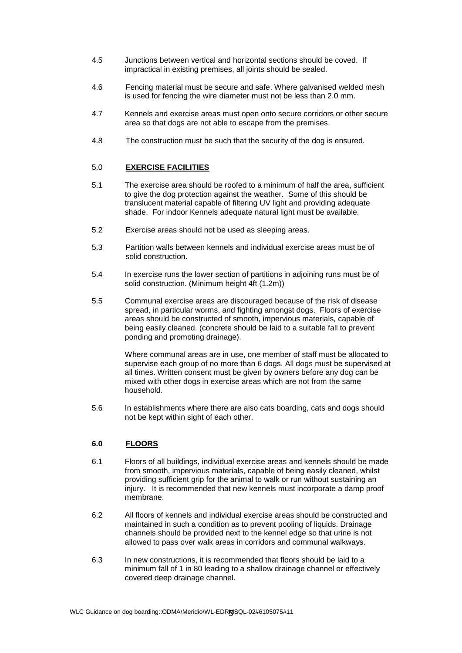- 4.5 Junctions between vertical and horizontal sections should be coved. If impractical in existing premises, all joints should be sealed.
- 4.6 Fencing material must be secure and safe. Where galvanised welded mesh is used for fencing the wire diameter must not be less than 2.0 mm.
- 4.7 Kennels and exercise areas must open onto secure corridors or other secure area so that dogs are not able to escape from the premises.
- 4.8 The construction must be such that the security of the dog is ensured.

# 5.0 **EXERCISE FACILITIES**

- 5.1 The exercise area should be roofed to a minimum of half the area, sufficient to give the dog protection against the weather. Some of this should be translucent material capable of filtering UV light and providing adequate shade. For indoor Kennels adequate natural light must be available.
- 5.2 Exercise areas should not be used as sleeping areas.
- 5.3 Partition walls between kennels and individual exercise areas must be of solid construction.
- 5.4 In exercise runs the lower section of partitions in adjoining runs must be of solid construction. (Minimum height 4ft (1.2m))
- 5.5 Communal exercise areas are discouraged because of the risk of disease spread, in particular worms, and fighting amongst dogs. Floors of exercise areas should be constructed of smooth, impervious materials, capable of being easily cleaned. (concrete should be laid to a suitable fall to prevent ponding and promoting drainage).

Where communal areas are in use, one member of staff must be allocated to supervise each group of no more than 6 dogs. All dogs must be supervised at all times. Written consent must be given by owners before any dog can be mixed with other dogs in exercise areas which are not from the same household.

5.6 In establishments where there are also cats boarding, cats and dogs should not be kept within sight of each other.

#### **6.0 FLOORS**

- 6.1 Floors of all buildings, individual exercise areas and kennels should be made from smooth, impervious materials, capable of being easily cleaned, whilst providing sufficient grip for the animal to walk or run without sustaining an injury. It is recommended that new kennels must incorporate a damp proof membrane.
- 6.2 All floors of kennels and individual exercise areas should be constructed and maintained in such a condition as to prevent pooling of liquids. Drainage channels should be provided next to the kennel edge so that urine is not allowed to pass over walk areas in corridors and communal walkways.
- 6.3 In new constructions, it is recommended that floors should be laid to a minimum fall of 1 in 80 leading to a shallow drainage channel or effectively covered deep drainage channel.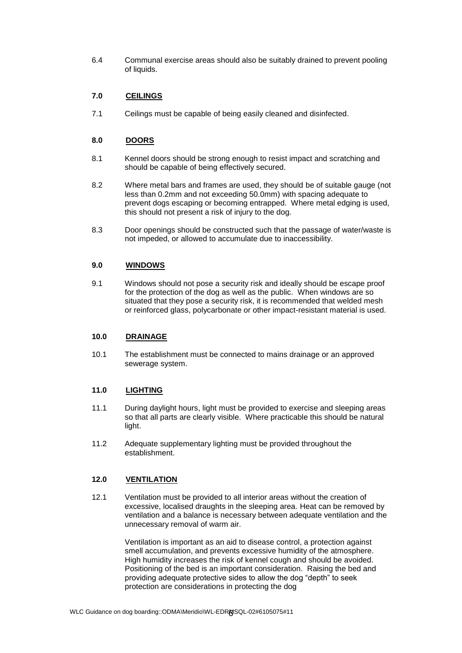6.4 Communal exercise areas should also be suitably drained to prevent pooling of liquids.

# **7.0 CEILINGS**

7.1 Ceilings must be capable of being easily cleaned and disinfected.

# **8.0 DOORS**

- 8.1 Kennel doors should be strong enough to resist impact and scratching and should be capable of being effectively secured.
- 8.2 Where metal bars and frames are used, they should be of suitable gauge (not less than 0.2mm and not exceeding 50.0mm) with spacing adequate to prevent dogs escaping or becoming entrapped. Where metal edging is used, this should not present a risk of injury to the dog.
- 8.3 Door openings should be constructed such that the passage of water/waste is not impeded, or allowed to accumulate due to inaccessibility.

#### **9.0 WINDOWS**

9.1 Windows should not pose a security risk and ideally should be escape proof for the protection of the dog as well as the public. When windows are so situated that they pose a security risk, it is recommended that welded mesh or reinforced glass, polycarbonate or other impact-resistant material is used.

#### **10.0 DRAINAGE**

10.1 The establishment must be connected to mains drainage or an approved sewerage system.

#### **11.0 LIGHTING**

- 11.1 During daylight hours, light must be provided to exercise and sleeping areas so that all parts are clearly visible. Where practicable this should be natural light.
- 11.2 Adequate supplementary lighting must be provided throughout the establishment.

## **12.0 VENTILATION**

12.1 Ventilation must be provided to all interior areas without the creation of excessive, localised draughts in the sleeping area. Heat can be removed by ventilation and a balance is necessary between adequate ventilation and the unnecessary removal of warm air.

> Ventilation is important as an aid to disease control, a protection against smell accumulation, and prevents excessive humidity of the atmosphere. High humidity increases the risk of kennel cough and should be avoided. Positioning of the bed is an important consideration. Raising the bed and providing adequate protective sides to allow the dog "depth" to seek protection are considerations in protecting the dog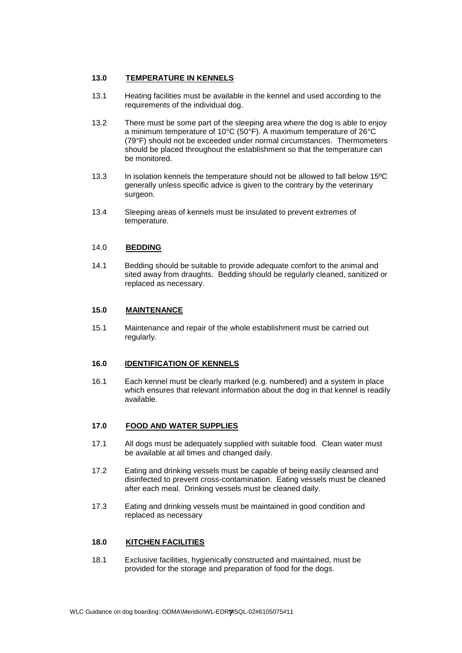# **13.0 TEMPERATURE IN KENNELS**

- 13.1 Heating facilities must be available in the kennel and used according to the requirements of the individual dog.
- 13.2 There must be some part of the sleeping area where the dog is able to enjoy a minimum temperature of 10°C (50°F). A maximum temperature of 26°C (79°F) should not be exceeded under normal circumstances. Thermometers should be placed throughout the establishment so that the temperature can be monitored.
- 13.3 In isolation kennels the temperature should not be allowed to fall below 15ºC generally unless specific advice is given to the contrary by the veterinary surgeon.
- 13.4 Sleeping areas of kennels must be insulated to prevent extremes of temperature.

#### 14.0 **BEDDING**

14.1 Bedding should be suitable to provide adequate comfort to the animal and sited away from draughts. Bedding should be regularly cleaned, sanitized or replaced as necessary.

# **15.0 MAINTENANCE**

15.1 Maintenance and repair of the whole establishment must be carried out regularly.

#### **16.0 IDENTIFICATION OF KENNELS**

16.1Each kennel must be clearly marked (e.g. numbered) and a system in place which ensures that relevant information about the dog in that kennel is readily available.

#### **17.0 FOOD AND WATER SUPPLIES**

- 17.1 All dogs must be adequately supplied with suitable food. Clean water must be available at all times and changed daily.
- 17.2 Eating and drinking vessels must be capable of being easily cleansed and disinfected to prevent cross-contamination. Eating vessels must be cleaned after each meal. Drinking vessels must be cleaned daily.
- 17.3 Eating and drinking vessels must be maintained in good condition and replaced as necessary

#### **18.0 KITCHEN FACILITIES**

18.1 Exclusive facilities, hygienically constructed and maintained, must be provided for the storage and preparation of food for the dogs.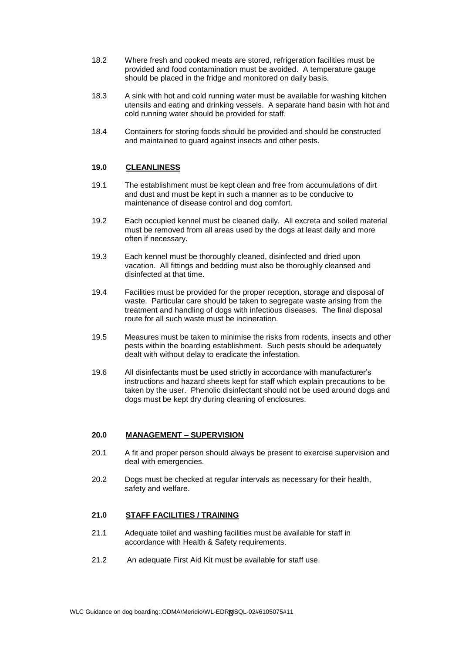- 18.2 Where fresh and cooked meats are stored, refrigeration facilities must be provided and food contamination must be avoided. A temperature gauge should be placed in the fridge and monitored on daily basis.
- 18.3 A sink with hot and cold running water must be available for washing kitchen utensils and eating and drinking vessels. A separate hand basin with hot and cold running water should be provided for staff.
- 18.4 Containers for storing foods should be provided and should be constructed and maintained to guard against insects and other pests.

#### **19.0 CLEANLINESS**

- 19.1 The establishment must be kept clean and free from accumulations of dirt and dust and must be kept in such a manner as to be conducive to maintenance of disease control and dog comfort.
- 19.2 Each occupied kennel must be cleaned daily. All excreta and soiled material must be removed from all areas used by the dogs at least daily and more often if necessary.
- 19.3 Each kennel must be thoroughly cleaned, disinfected and dried upon vacation. All fittings and bedding must also be thoroughly cleansed and disinfected at that time.
- 19.4 Facilities must be provided for the proper reception, storage and disposal of waste. Particular care should be taken to segregate waste arising from the treatment and handling of dogs with infectious diseases. The final disposal route for all such waste must be incineration.
- 19.5 Measures must be taken to minimise the risks from rodents, insects and other pests within the boarding establishment. Such pests should be adequately dealt with without delay to eradicate the infestation.
- 19.6 All disinfectants must be used strictly in accordance with manufacturer's instructions and hazard sheets kept for staff which explain precautions to be taken by the user. Phenolic disinfectant should not be used around dogs and dogs must be kept dry during cleaning of enclosures.

#### **20.0 MANAGEMENT – SUPERVISION**

- 20.1 A fit and proper person should always be present to exercise supervision and deal with emergencies.
- 20.2 Dogs must be checked at regular intervals as necessary for their health, safety and welfare.

#### **21.0 STAFF FACILITIES / TRAINING**

- 21.1 Adequate toilet and washing facilities must be available for staff in accordance with Health & Safety requirements.
- 21.2 An adequate First Aid Kit must be available for staff use.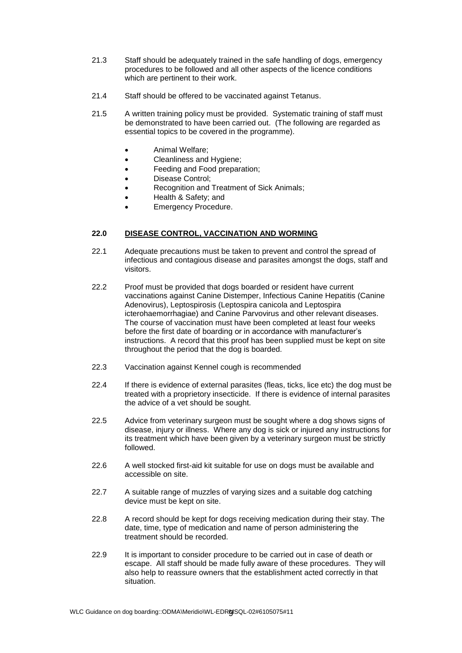- 21.3 Staff should be adequately trained in the safe handling of dogs, emergency procedures to be followed and all other aspects of the licence conditions which are pertinent to their work.
- 21.4 Staff should be offered to be vaccinated against Tetanus.
- 21.5 A written training policy must be provided. Systematic training of staff must be demonstrated to have been carried out. (The following are regarded as essential topics to be covered in the programme).
	- Animal Welfare;
	- Cleanliness and Hygiene;
	- Feeding and Food preparation;
	- Disease Control;
	- Recognition and Treatment of Sick Animals;
	- Health & Safety; and
	- Emergency Procedure.

# **22.0 DISEASE CONTROL, VACCINATION AND WORMING**

- 22.1 Adequate precautions must be taken to prevent and control the spread of infectious and contagious disease and parasites amongst the dogs, staff and visitors.
- 22.2 Proof must be provided that dogs boarded or resident have current vaccinations against Canine Distemper, Infectious Canine Hepatitis (Canine Adenovirus), Leptospirosis (Leptospira canicola and Leptospira icterohaemorrhagiae) and Canine Parvovirus and other relevant diseases. The course of vaccination must have been completed at least four weeks before the first date of boarding or in accordance with manufacturer's instructions. A record that this proof has been supplied must be kept on site throughout the period that the dog is boarded.
- 22.3 Vaccination against Kennel cough is recommended
- 22.4 If there is evidence of external parasites (fleas, ticks, lice etc) the dog must be treated with a proprietory insecticide. If there is evidence of internal parasites the advice of a vet should be sought.
- 22.5 Advice from veterinary surgeon must be sought where a dog shows signs of disease, injury or illness. Where any dog is sick or injured any instructions for its treatment which have been given by a veterinary surgeon must be strictly followed.
- 22.6 A well stocked first-aid kit suitable for use on dogs must be available and accessible on site.
- 22.7 A suitable range of muzzles of varying sizes and a suitable dog catching device must be kept on site.
- 22.8 A record should be kept for dogs receiving medication during their stay. The date, time, type of medication and name of person administering the treatment should be recorded.
- 22.9 It is important to consider procedure to be carried out in case of death or escape. All staff should be made fully aware of these procedures. They will also help to reassure owners that the establishment acted correctly in that situation.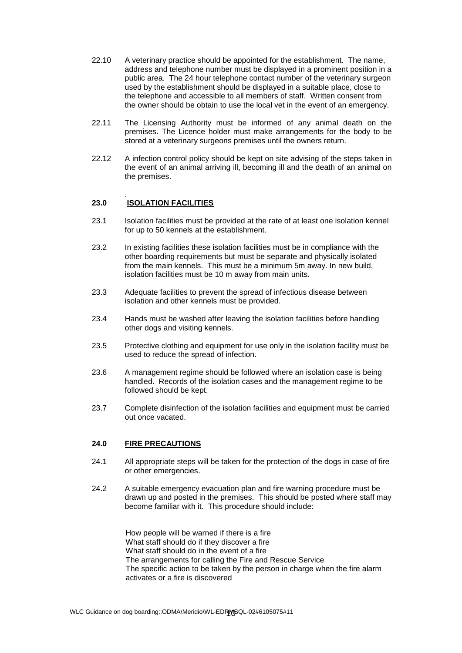- 22.10 A veterinary practice should be appointed for the establishment. The name, address and telephone number must be displayed in a prominent position in a public area. The 24 hour telephone contact number of the veterinary surgeon used by the establishment should be displayed in a suitable place, close to the telephone and accessible to all members of staff. Written consent from the owner should be obtain to use the local vet in the event of an emergency.
- 22.11 The Licensing Authority must be informed of any animal death on the premises. The Licence holder must make arrangements for the body to be stored at a veterinary surgeons premises until the owners return.
- 22.12 A infection control policy should be kept on site advising of the steps taken in the event of an animal arriving ill, becoming ill and the death of an animal on the premises.

#### . **23.0 ISOLATION FACILITIES**

- 23.1 Isolation facilities must be provided at the rate of at least one isolation kennel for up to 50 kennels at the establishment.
- 23.2 In existing facilities these isolation facilities must be in compliance with the other boarding requirements but must be separate and physically isolated from the main kennels. This must be a minimum 5m away. In new build, isolation facilities must be 10 m away from main units.
- 23.3 Adequate facilities to prevent the spread of infectious disease between isolation and other kennels must be provided.
- 23.4 Hands must be washed after leaving the isolation facilities before handling other dogs and visiting kennels.
- 23.5 Protective clothing and equipment for use only in the isolation facility must be used to reduce the spread of infection.
- 23.6 A management regime should be followed where an isolation case is being handled. Records of the isolation cases and the management regime to be followed should be kept.
- 23.7 Complete disinfection of the isolation facilities and equipment must be carried out once vacated.

#### **24.0 FIRE PRECAUTIONS**

- 24.1All appropriate steps will be taken for the protection of the dogs in case of fire or other emergencies.
- 24.2 A suitable emergency evacuation plan and fire warning procedure must be drawn up and posted in the premises. This should be posted where staff may become familiar with it. This procedure should include:

How people will be warned if there is a fire What staff should do if they discover a fire What staff should do in the event of a fire The arrangements for calling the Fire and Rescue Service The specific action to be taken by the person in charge when the fire alarm activates or a fire is discovered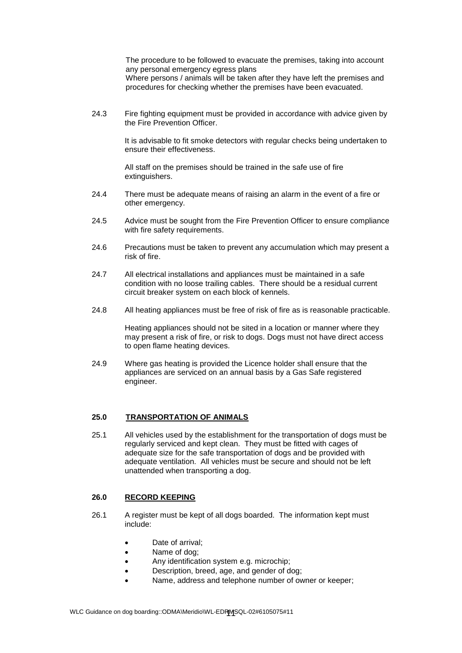The procedure to be followed to evacuate the premises, taking into account any personal emergency egress plans Where persons / animals will be taken after they have left the premises and procedures for checking whether the premises have been evacuated.

24.3 Fire fighting equipment must be provided in accordance with advice given by the Fire Prevention Officer.

> It is advisable to fit smoke detectors with regular checks being undertaken to ensure their effectiveness.

All staff on the premises should be trained in the safe use of fire extinguishers.

- 24.4 There must be adequate means of raising an alarm in the event of a fire or other emergency.
- 24.5 Advice must be sought from the Fire Prevention Officer to ensure compliance with fire safety requirements.
- 24.6 Precautions must be taken to prevent any accumulation which may present a risk of fire.
- 24.7 All electrical installations and appliances must be maintained in a safe condition with no loose trailing cables. There should be a residual current circuit breaker system on each block of kennels.
- 24.8 All heating appliances must be free of risk of fire as is reasonable practicable.

Heating appliances should not be sited in a location or manner where they may present a risk of fire, or risk to dogs. Dogs must not have direct access to open flame heating devices.

24.9 Where gas heating is provided the Licence holder shall ensure that the appliances are serviced on an annual basis by a Gas Safe registered engineer.

# **25.0 TRANSPORTATION OF ANIMALS**

25.1 All vehicles used by the establishment for the transportation of dogs must be regularly serviced and kept clean. They must be fitted with cages of adequate size for the safe transportation of dogs and be provided with adequate ventilation. All vehicles must be secure and should not be left unattended when transporting a dog.

# **26.0 RECORD KEEPING**

- 26.1 A register must be kept of all dogs boarded. The information kept must include:
	- Date of arrival:
	- Name of dog;
	- Any identification system e.g. microchip;
	- Description, breed, age, and gender of dog:
	- Name, address and telephone number of owner or keeper;